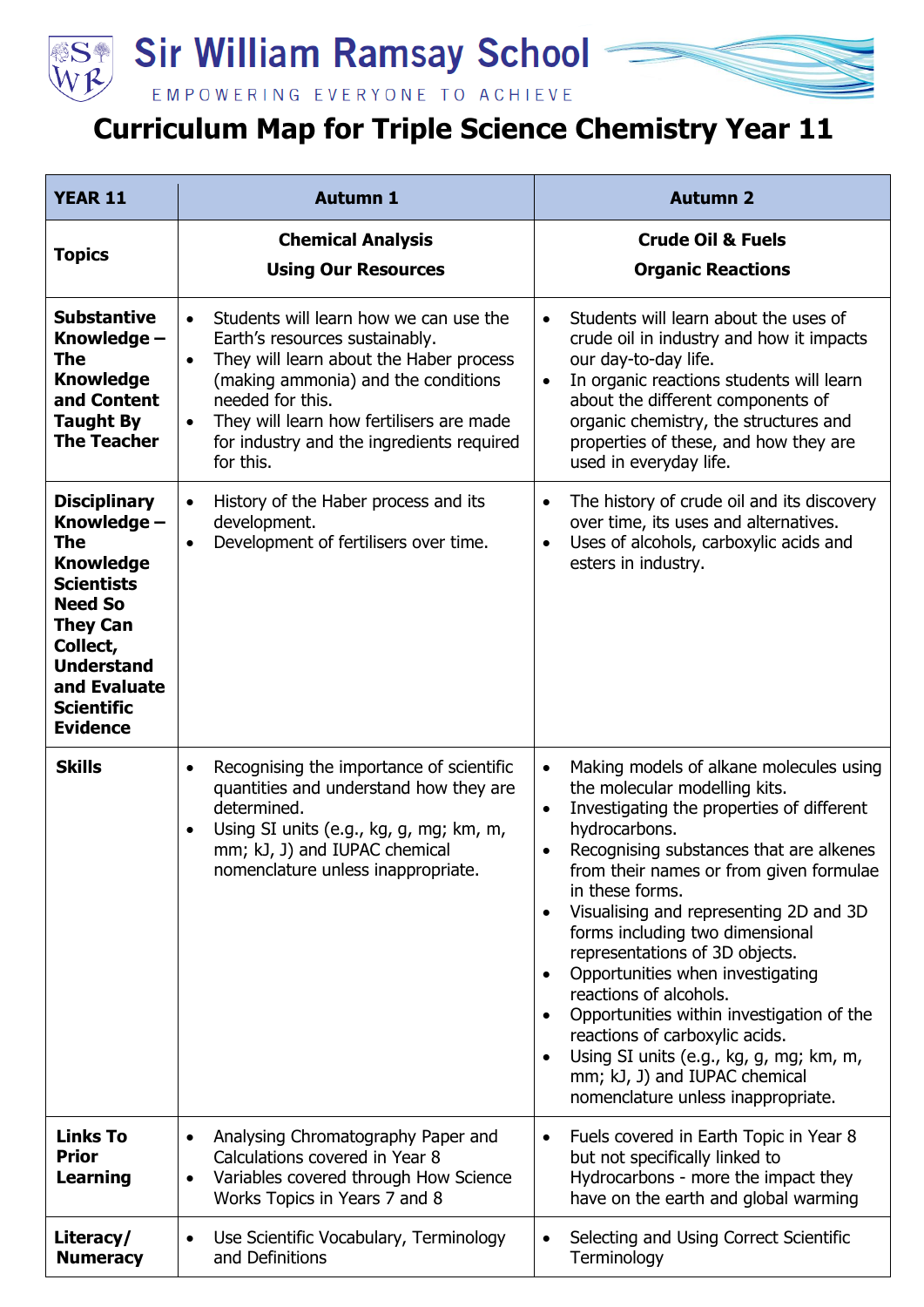



## **Curriculum Map for Triple Science Chemistry Year 11**

| <b>YEAR 11</b>                                                                                                                                                                                                   | <b>Autumn 1</b>                                                                                                                                                                                                                                                                                                             | <b>Autumn 2</b>                                                                                                                                                                                                                                                                                                                                                                                                                                                                                                                                                                                                                                                                                                          |
|------------------------------------------------------------------------------------------------------------------------------------------------------------------------------------------------------------------|-----------------------------------------------------------------------------------------------------------------------------------------------------------------------------------------------------------------------------------------------------------------------------------------------------------------------------|--------------------------------------------------------------------------------------------------------------------------------------------------------------------------------------------------------------------------------------------------------------------------------------------------------------------------------------------------------------------------------------------------------------------------------------------------------------------------------------------------------------------------------------------------------------------------------------------------------------------------------------------------------------------------------------------------------------------------|
| <b>Topics</b>                                                                                                                                                                                                    | <b>Chemical Analysis</b><br><b>Using Our Resources</b>                                                                                                                                                                                                                                                                      | <b>Crude Oil &amp; Fuels</b><br><b>Organic Reactions</b>                                                                                                                                                                                                                                                                                                                                                                                                                                                                                                                                                                                                                                                                 |
| <b>Substantive</b><br>Knowledge -<br>The<br><b>Knowledge</b><br>and Content<br><b>Taught By</b><br><b>The Teacher</b>                                                                                            | Students will learn how we can use the<br>$\bullet$<br>Earth's resources sustainably.<br>They will learn about the Haber process<br>$\bullet$<br>(making ammonia) and the conditions<br>needed for this.<br>They will learn how fertilisers are made<br>$\bullet$<br>for industry and the ingredients required<br>for this. | Students will learn about the uses of<br>$\bullet$<br>crude oil in industry and how it impacts<br>our day-to-day life.<br>In organic reactions students will learn<br>$\bullet$<br>about the different components of<br>organic chemistry, the structures and<br>properties of these, and how they are<br>used in everyday life.                                                                                                                                                                                                                                                                                                                                                                                         |
| <b>Disciplinary</b><br>Knowledge -<br>The<br><b>Knowledge</b><br><b>Scientists</b><br><b>Need So</b><br><b>They Can</b><br>Collect,<br><b>Understand</b><br>and Evaluate<br><b>Scientific</b><br><b>Evidence</b> | History of the Haber process and its<br>$\bullet$<br>development.<br>Development of fertilisers over time.<br>$\bullet$                                                                                                                                                                                                     | The history of crude oil and its discovery<br>$\bullet$<br>over time, its uses and alternatives.<br>Uses of alcohols, carboxylic acids and<br>$\bullet$<br>esters in industry.                                                                                                                                                                                                                                                                                                                                                                                                                                                                                                                                           |
| <b>Skills</b>                                                                                                                                                                                                    | Recognising the importance of scientific<br>$\bullet$<br>quantities and understand how they are<br>determined.<br>Using SI units (e.g., kg, g, mg; km, m,<br>$\bullet$<br>mm; kJ, J) and IUPAC chemical<br>nomenclature unless inappropriate.                                                                               | Making models of alkane molecules using<br>$\bullet$<br>the molecular modelling kits.<br>Investigating the properties of different<br>$\bullet$<br>hydrocarbons.<br>Recognising substances that are alkenes<br>$\bullet$<br>from their names or from given formulae<br>in these forms.<br>Visualising and representing 2D and 3D<br>$\bullet$<br>forms including two dimensional<br>representations of 3D objects.<br>Opportunities when investigating<br>$\bullet$<br>reactions of alcohols.<br>Opportunities within investigation of the<br>$\bullet$<br>reactions of carboxylic acids.<br>Using SI units (e.g., kg, g, mg; km, m,<br>$\bullet$<br>mm; kJ, J) and IUPAC chemical<br>nomenclature unless inappropriate. |
| <b>Links To</b><br><b>Prior</b><br><b>Learning</b>                                                                                                                                                               | Analysing Chromatography Paper and<br>$\bullet$<br>Calculations covered in Year 8<br>Variables covered through How Science<br>$\bullet$<br>Works Topics in Years 7 and 8                                                                                                                                                    | Fuels covered in Earth Topic in Year 8<br>$\bullet$<br>but not specifically linked to<br>Hydrocarbons - more the impact they<br>have on the earth and global warming                                                                                                                                                                                                                                                                                                                                                                                                                                                                                                                                                     |
| Literacy/<br><b>Numeracy</b>                                                                                                                                                                                     | Use Scientific Vocabulary, Terminology<br>$\bullet$<br>and Definitions                                                                                                                                                                                                                                                      | Selecting and Using Correct Scientific<br>$\bullet$<br>Terminology                                                                                                                                                                                                                                                                                                                                                                                                                                                                                                                                                                                                                                                       |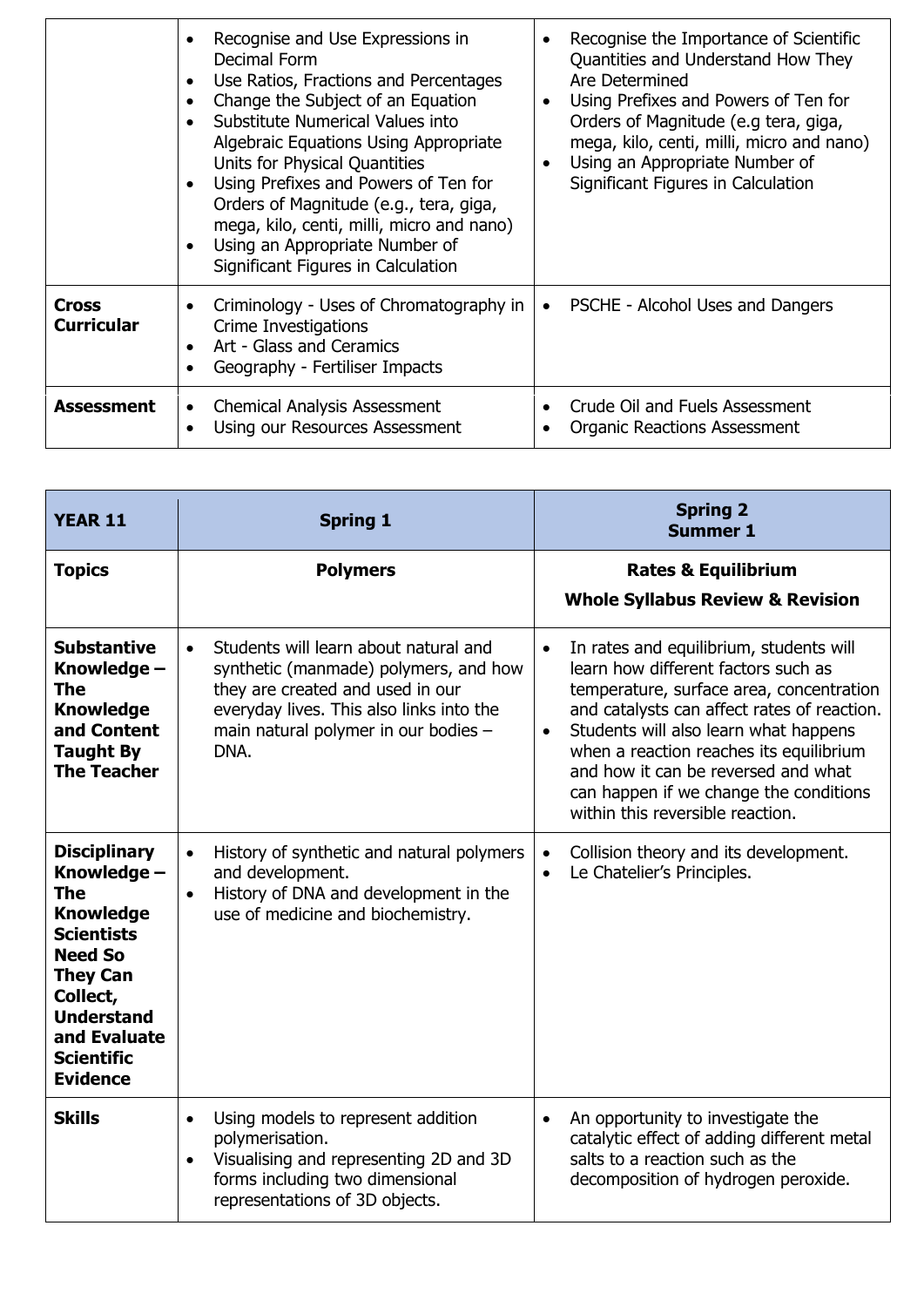|                                   | Recognise and Use Expressions in<br>$\bullet$<br>Decimal Form<br>Use Ratios, Fractions and Percentages<br>$\bullet$<br>Change the Subject of an Equation<br>$\bullet$<br>Substitute Numerical Values into<br>Algebraic Equations Using Appropriate<br>Units for Physical Quantities<br>Using Prefixes and Powers of Ten for<br>$\bullet$<br>Orders of Magnitude (e.g., tera, giga,<br>mega, kilo, centi, milli, micro and nano)<br>Using an Appropriate Number of<br>Significant Figures in Calculation | Recognise the Importance of Scientific<br>Quantities and Understand How They<br>Are Determined<br>Using Prefixes and Powers of Ten for<br>$\bullet$<br>Orders of Magnitude (e.g tera, giga,<br>mega, kilo, centi, milli, micro and nano)<br>Using an Appropriate Number of<br>Significant Figures in Calculation |
|-----------------------------------|---------------------------------------------------------------------------------------------------------------------------------------------------------------------------------------------------------------------------------------------------------------------------------------------------------------------------------------------------------------------------------------------------------------------------------------------------------------------------------------------------------|------------------------------------------------------------------------------------------------------------------------------------------------------------------------------------------------------------------------------------------------------------------------------------------------------------------|
| <b>Cross</b><br><b>Curricular</b> | Criminology - Uses of Chromatography in<br>٠<br>Crime Investigations<br>Art - Glass and Ceramics<br>$\bullet$<br>Geography - Fertiliser Impacts                                                                                                                                                                                                                                                                                                                                                         | PSCHE - Alcohol Uses and Dangers                                                                                                                                                                                                                                                                                 |
| <b>Assessment</b>                 | <b>Chemical Analysis Assessment</b><br>٠<br>Using our Resources Assessment                                                                                                                                                                                                                                                                                                                                                                                                                              | Crude Oil and Fuels Assessment<br><b>Organic Reactions Assessment</b>                                                                                                                                                                                                                                            |

| <b>YEAR 11</b>                                                                                                                                                                                                   | <b>Spring 1</b>                                                                                                                                                                                                             | <b>Spring 2</b><br><b>Summer 1</b>                                                                                                                                                                                                                                                                                                                                                                           |
|------------------------------------------------------------------------------------------------------------------------------------------------------------------------------------------------------------------|-----------------------------------------------------------------------------------------------------------------------------------------------------------------------------------------------------------------------------|--------------------------------------------------------------------------------------------------------------------------------------------------------------------------------------------------------------------------------------------------------------------------------------------------------------------------------------------------------------------------------------------------------------|
| <b>Topics</b>                                                                                                                                                                                                    | <b>Polymers</b>                                                                                                                                                                                                             | <b>Rates &amp; Equilibrium</b><br><b>Whole Syllabus Review &amp; Revision</b>                                                                                                                                                                                                                                                                                                                                |
| <b>Substantive</b><br>Knowledge -<br>The<br><b>Knowledge</b><br>and Content<br><b>Taught By</b><br><b>The Teacher</b>                                                                                            | Students will learn about natural and<br>$\bullet$<br>synthetic (manmade) polymers, and how<br>they are created and used in our<br>everyday lives. This also links into the<br>main natural polymer in our bodies -<br>DNA. | In rates and equilibrium, students will<br>$\bullet$<br>learn how different factors such as<br>temperature, surface area, concentration<br>and catalysts can affect rates of reaction.<br>Students will also learn what happens<br>$\bullet$<br>when a reaction reaches its equilibrium<br>and how it can be reversed and what<br>can happen if we change the conditions<br>within this reversible reaction. |
| <b>Disciplinary</b><br>Knowledge -<br>The<br><b>Knowledge</b><br><b>Scientists</b><br><b>Need So</b><br><b>They Can</b><br>Collect,<br><b>Understand</b><br>and Evaluate<br><b>Scientific</b><br><b>Evidence</b> | History of synthetic and natural polymers<br>$\bullet$<br>and development.<br>History of DNA and development in the<br>$\bullet$<br>use of medicine and biochemistry.                                                       | Collision theory and its development.<br>$\bullet$<br>Le Chatelier's Principles.<br>$\bullet$                                                                                                                                                                                                                                                                                                                |
| <b>Skills</b>                                                                                                                                                                                                    | Using models to represent addition<br>$\bullet$<br>polymerisation.<br>Visualising and representing 2D and 3D<br>$\bullet$<br>forms including two dimensional<br>representations of 3D objects.                              | An opportunity to investigate the<br>$\bullet$<br>catalytic effect of adding different metal<br>salts to a reaction such as the<br>decomposition of hydrogen peroxide.                                                                                                                                                                                                                                       |